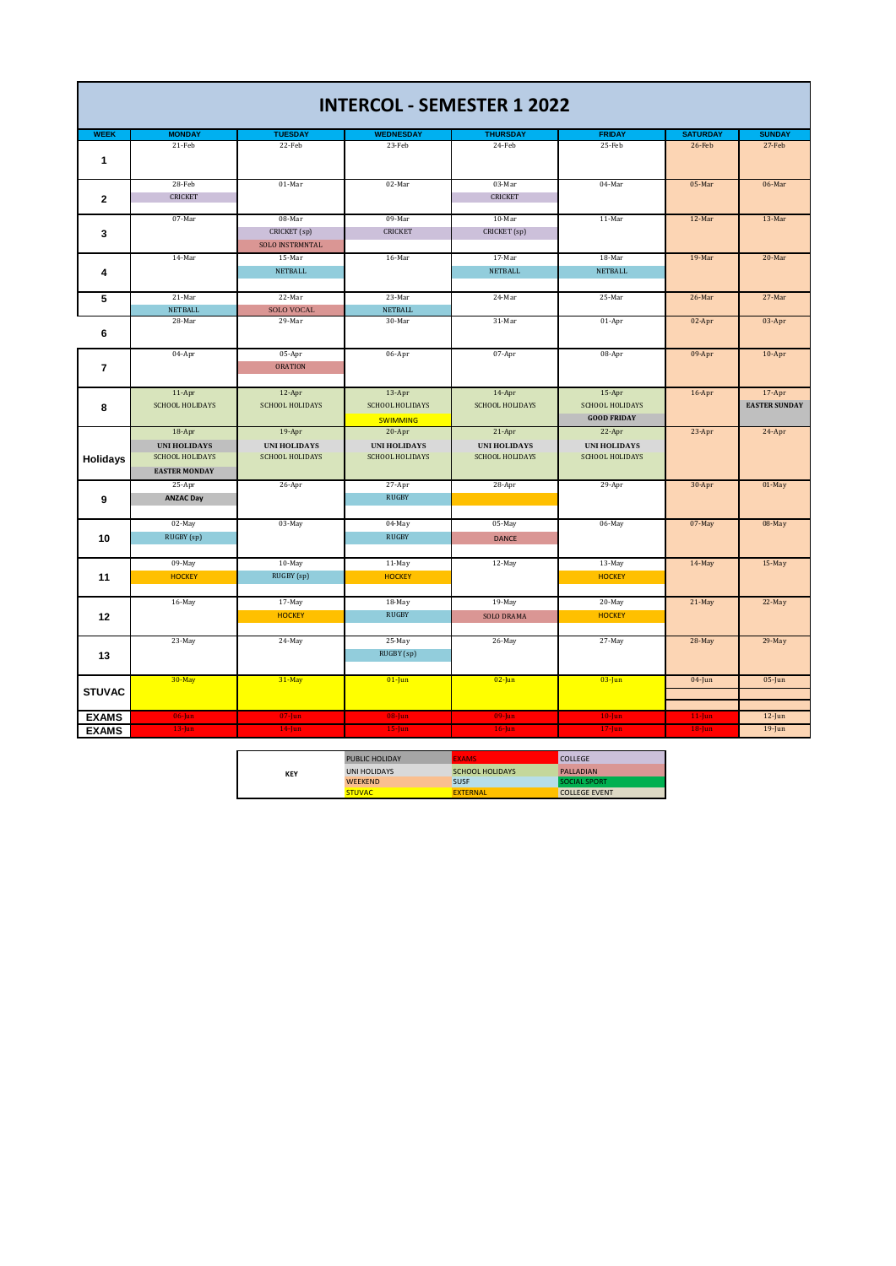|                 |                          |                             | <b>INTERCOL - SEMESTER 1 2022</b> |                           |                         |                           |                         |
|-----------------|--------------------------|-----------------------------|-----------------------------------|---------------------------|-------------------------|---------------------------|-------------------------|
|                 |                          |                             |                                   |                           |                         |                           |                         |
| <b>WEEK</b>     | <b>MONDAY</b><br>21-Feb  | <b>TUESDAY</b><br>22-Feb    | <b>WEDNESDAY</b><br>23-Feb        | <b>THURSDAY</b><br>24-Feb | <b>FRIDAY</b><br>25-Feb | <b>SATURDAY</b><br>26-Feb | <b>SUNDAY</b><br>27-Feb |
|                 |                          |                             |                                   |                           |                         |                           |                         |
| 1               |                          |                             |                                   |                           |                         |                           |                         |
|                 | 28-Feb                   | 01-Mar                      | 02-Mar                            | 03-Mar                    | 04-Mar                  | 05-Mar                    | 06-Mar                  |
| $\mathbf{2}$    | <b>CRICKET</b>           |                             |                                   | <b>CRICKET</b>            |                         |                           |                         |
|                 |                          |                             |                                   |                           |                         |                           |                         |
|                 | 07-Mar                   | 08-Mar                      | 09-Mar                            | 10-Mar                    | 11-Mar                  | 12-Mar                    | 13-Mar                  |
| 3               |                          | CRICKET (sp)                | <b>CRICKET</b>                    | CRICKET (sp)              |                         |                           |                         |
|                 |                          | <b>SOLO INSTRMNTAL</b>      |                                   |                           |                         |                           |                         |
|                 | 14-Mar                   | 15-Mar                      | 16-Mar                            | 17-Mar                    | 18-Mar                  | 19-Mar                    | 20-Mar                  |
| 4               |                          | <b>NETBALL</b>              |                                   | <b>NETBALL</b>            | <b>NETBALL</b>          |                           |                         |
|                 |                          |                             |                                   |                           |                         |                           |                         |
| 5               | 21-Mar                   | 22-Mar                      | 23-Mar                            | 24-Mar                    | 25-Mar                  | 26-Mar                    | 27-Mar                  |
|                 | <b>NETBALL</b><br>28-Mar | <b>SOLO VOCAL</b><br>29-Mar | <b>NETBALL</b><br>30-Mar          | 31-Mar                    | 01-Apr                  | 02-Apr                    | 03-Apr                  |
| 6               |                          |                             |                                   |                           |                         |                           |                         |
|                 |                          |                             |                                   |                           |                         |                           |                         |
|                 | 04-Apr                   | 05-Apr                      | 06-Apr                            | 07-Apr                    | 08-Apr                  | 09-Apr                    | $10-Apr$                |
| $\overline{7}$  |                          | <b>ORATION</b>              |                                   |                           |                         |                           |                         |
|                 |                          |                             |                                   |                           |                         |                           |                         |
|                 | $11-Apr$                 | 12-Apr                      | 13-Apr                            | $14-Apr$                  | 15-Apr                  | $16$ -Apr                 | $17 - Apr$              |
| 8               | <b>SCHOOL HOLIDAYS</b>   | <b>SCHOOL HOLIDAYS</b>      | <b>SCHOOL HOLIDAYS</b>            | <b>SCHOOL HOLIDAYS</b>    | <b>SCHOOL HOLIDAYS</b>  |                           | <b>EASTER SUNDAY</b>    |
|                 |                          |                             | <b>SWIMMING</b>                   |                           | <b>GOOD FRIDAY</b>      |                           |                         |
|                 | $18-Apr$                 | $19-Apr$                    | $20 - Apr$                        | $21-Apr$                  | 22-Apr                  | 23-Apr                    | 24-Apr                  |
|                 | <b>UNI HOLIDAYS</b>      | <b>UNI HOLIDAYS</b>         | <b>UNI HOLIDAYS</b>               | <b>UNI HOLIDAYS</b>       | <b>UNI HOLIDAYS</b>     |                           |                         |
| <b>Holidays</b> | <b>SCHOOL HOLIDAYS</b>   | <b>SCHOOL HOLIDAYS</b>      | <b>SCHOOL HOLIDAYS</b>            | <b>SCHOOL HOLIDAYS</b>    | <b>SCHOOL HOLIDAYS</b>  |                           |                         |
|                 | <b>EASTER MONDAY</b>     |                             |                                   |                           |                         |                           |                         |
|                 | 25-Apr                   | 26-Apr                      | 27-Apr                            | 28-Apr                    | 29-Apr                  | 30-Apr                    | 01-May                  |
| 9               | <b>ANZAC Day</b>         |                             | <b>RUGBY</b>                      |                           |                         |                           |                         |
|                 |                          |                             |                                   |                           |                         |                           |                         |
|                 | 02-May                   | 03-May                      | 04-May<br><b>RUGBY</b>            | 05-May                    | 06-May                  | 07-May                    | 08-May                  |
| 10              | RUGBY (sp)               |                             |                                   | <b>DANCE</b>              |                         |                           |                         |
|                 | 09-May                   | 10-May                      | 11-May                            | 12-May                    | 13-May                  | 14-May                    | 15-May                  |
| 11              | <b>HOCKEY</b>            | RUGBY (sp)                  | <b>HOCKEY</b>                     |                           | <b>HOCKEY</b>           |                           |                         |
|                 |                          |                             |                                   |                           |                         |                           |                         |
|                 | 16-May                   | 17-May                      | 18-May                            | 19-May                    | 20-May                  | 21-May                    | 22-May                  |
| 12              |                          | <b>HOCKEY</b>               | <b>RUGBY</b>                      | <b>SOLO DRAMA</b>         | <b>HOCKEY</b>           |                           |                         |
|                 |                          |                             |                                   |                           |                         |                           |                         |
|                 | 23-May                   | 24-May                      | 25-May                            | 26-May                    | 27-May                  | 28-May                    | 29-May                  |
| 13              |                          |                             | RUGBY (sp)                        |                           |                         |                           |                         |
|                 |                          |                             |                                   |                           |                         |                           |                         |
|                 | 30-May                   | 31-May                      | $01$ -Jun                         | $02$ -Jun                 | $03$ -Jun               | $04$ -Jun                 | $05$ -Jun               |
| <b>STUVAC</b>   |                          |                             |                                   |                           |                         |                           |                         |
|                 |                          |                             |                                   |                           |                         |                           |                         |
| <b>EXAMS</b>    | $06$ -Jun                | $07$ -Jun                   | $08$ -Jun                         | $09$ -Jun                 | $10$ -Jun               | $11$ -Jun                 | $12$ -Jun               |
| <b>EXAMS</b>    | $13$ -Jun                | $14$ -Jun                   | $15$ -Jun                         | $16$ -Jun                 | $17 - Jun$              | $18$ -Jun                 | $19$ -Jun               |

|            | <b>PUBLIC HOLIDAY</b> | <b>FXAMS</b>    | <b>COLLEGE</b>       |
|------------|-----------------------|-----------------|----------------------|
| <b>KEY</b> | UNI HOLIDAYS          | SCHOOL HOLIDAYS | <b>PALLADIAN</b>     |
|            | <b>WEEKEND</b>        | <b>SUSF</b>     | SOCIAL SPORT         |
|            | <b>STUVAC</b>         | <b>FXTFRNAI</b> | <b>COLLEGE EVENT</b> |